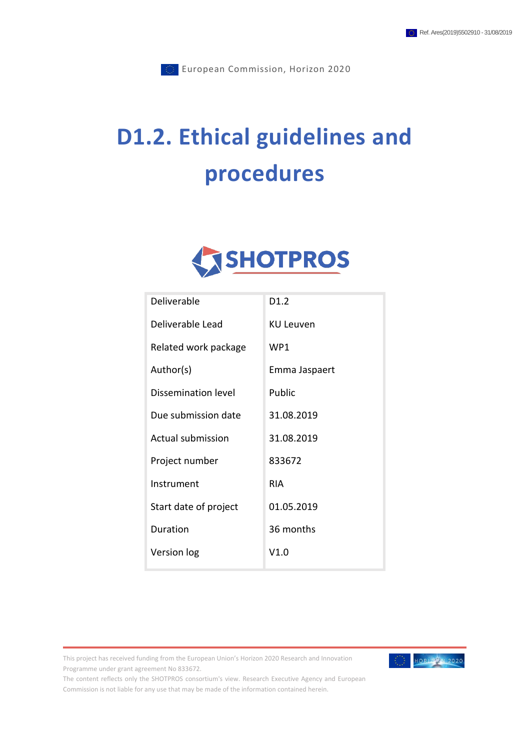# **D1.2. Ethical guidelines and procedures**



| Deliverable           | D <sub>1.2</sub> |
|-----------------------|------------------|
| Deliverable Lead      | <b>KU Leuven</b> |
| Related work package  | WP1              |
| Author(s)             | Emma Jaspaert    |
| Dissemination level   | Public           |
| Due submission date   | 31.08.2019       |
| Actual submission     | 31.08.2019       |
| Project number        | 833672           |
| Instrument            | RIA              |
| Start date of project | 01.05.2019       |
| Duration              | 36 months        |
| Version log           | V1.0             |

This project has received funding from the European Union's Horizon 2020 Research and Innovation Programme under grant agreement No 833672.



The content reflects only the SHOTPROS consortium's view. Research Executive Agency and European Commission is not liable for any use that may be made of the information contained herein.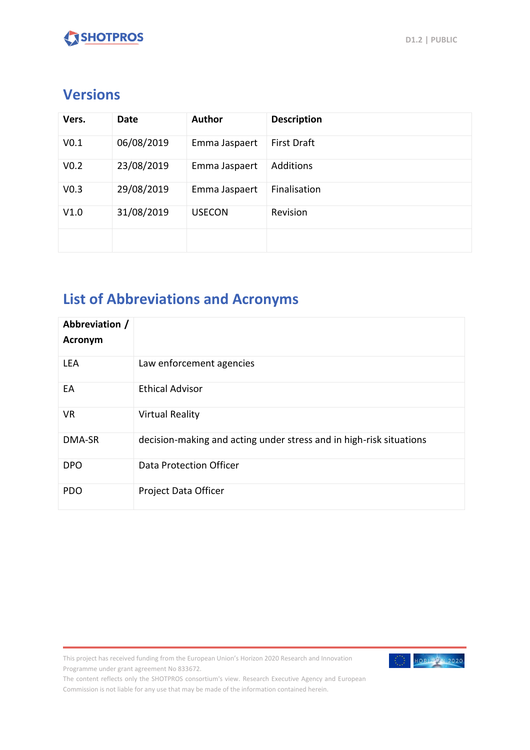### **Versions**

| Vers.            | Date       | <b>Author</b> | <b>Description</b> |
|------------------|------------|---------------|--------------------|
| V <sub>0.1</sub> | 06/08/2019 | Emma Jaspaert | <b>First Draft</b> |
| V <sub>0.2</sub> | 23/08/2019 | Emma Jaspaert | <b>Additions</b>   |
| V <sub>0.3</sub> | 29/08/2019 | Emma Jaspaert | Finalisation       |
| V1.0             | 31/08/2019 | <b>USECON</b> | Revision           |
|                  |            |               |                    |

### **List of Abbreviations and Acronyms**

| Abbreviation /<br>Acronym |                                                                     |
|---------------------------|---------------------------------------------------------------------|
| <b>LEA</b>                | Law enforcement agencies                                            |
| EA                        | <b>Ethical Advisor</b>                                              |
| <b>VR</b>                 | <b>Virtual Reality</b>                                              |
| DMA-SR                    | decision-making and acting under stress and in high-risk situations |
| <b>DPO</b>                | Data Protection Officer                                             |
| <b>PDO</b>                | Project Data Officer                                                |

This project has received funding from the European Union's Horizon 2020 Research and Innovation Programme under grant agreement No 833672.



The content reflects only the SHOTPROS consortium's view. Research Executive Agency and European Commission is not liable for any use that may be made of the information contained herein.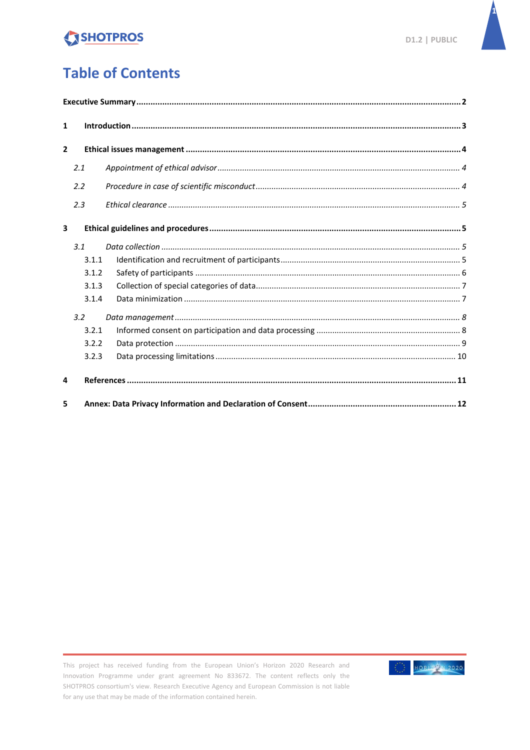

### **Table of Contents**

| $\mathbf{1}$            |       |  |  |  |
|-------------------------|-------|--|--|--|
| $\overline{2}$          |       |  |  |  |
|                         | 2.1   |  |  |  |
|                         | 2.2   |  |  |  |
|                         | 2.3   |  |  |  |
| $\overline{\mathbf{3}}$ |       |  |  |  |
|                         | 3.1   |  |  |  |
|                         | 3.1.1 |  |  |  |
|                         | 3.1.2 |  |  |  |
|                         | 3.1.3 |  |  |  |
|                         | 3.1.4 |  |  |  |
|                         | 3.2   |  |  |  |
|                         | 3.2.1 |  |  |  |
|                         | 3.2.2 |  |  |  |
|                         | 3.2.3 |  |  |  |
| 4                       |       |  |  |  |
| 5                       |       |  |  |  |

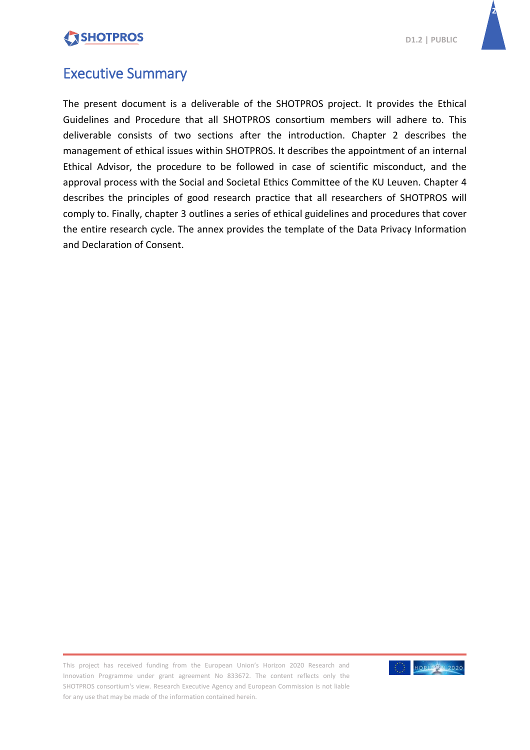

**2**

### <span id="page-3-0"></span>Executive Summary

The present document is a deliverable of the SHOTPROS project. It provides the Ethical Guidelines and Procedure that all SHOTPROS consortium members will adhere to. This deliverable consists of two sections after the introduction. Chapter 2 describes the management of ethical issues within SHOTPROS. It describes the appointment of an internal Ethical Advisor, the procedure to be followed in case of scientific misconduct, and the approval process with the Social and Societal Ethics Committee of the KU Leuven. Chapter 4 describes the principles of good research practice that all researchers of SHOTPROS will comply to. Finally, chapter 3 outlines a series of ethical guidelines and procedures that cover the entire research cycle. The annex provides the template of the Data Privacy Information and Declaration of Consent.

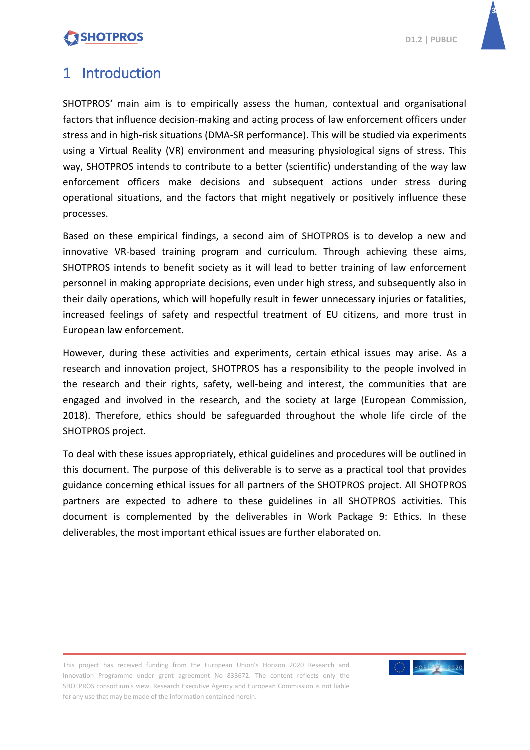**3**

### <span id="page-4-0"></span>1 Introduction

SHOTPROS' main aim is to empirically assess the human, contextual and organisational factors that influence decision-making and acting process of law enforcement officers under stress and in high-risk situations (DMA-SR performance). This will be studied via experiments using a Virtual Reality (VR) environment and measuring physiological signs of stress. This way, SHOTPROS intends to contribute to a better (scientific) understanding of the way law enforcement officers make decisions and subsequent actions under stress during operational situations, and the factors that might negatively or positively influence these processes.

Based on these empirical findings, a second aim of SHOTPROS is to develop a new and innovative VR-based training program and curriculum. Through achieving these aims, SHOTPROS intends to benefit society as it will lead to better training of law enforcement personnel in making appropriate decisions, even under high stress, and subsequently also in their daily operations, which will hopefully result in fewer unnecessary injuries or fatalities, increased feelings of safety and respectful treatment of EU citizens, and more trust in European law enforcement.

However, during these activities and experiments, certain ethical issues may arise. As a research and innovation project, SHOTPROS has a responsibility to the people involved in the research and their rights, safety, well-being and interest, the communities that are engaged and involved in the research, and the society at large (European Commission, 2018). Therefore, ethics should be safeguarded throughout the whole life circle of the SHOTPROS project.

To deal with these issues appropriately, ethical guidelines and procedures will be outlined in this document. The purpose of this deliverable is to serve as a practical tool that provides guidance concerning ethical issues for all partners of the SHOTPROS project. All SHOTPROS partners are expected to adhere to these guidelines in all SHOTPROS activities. This document is complemented by the deliverables in Work Package 9: Ethics. In these deliverables, the most important ethical issues are further elaborated on.

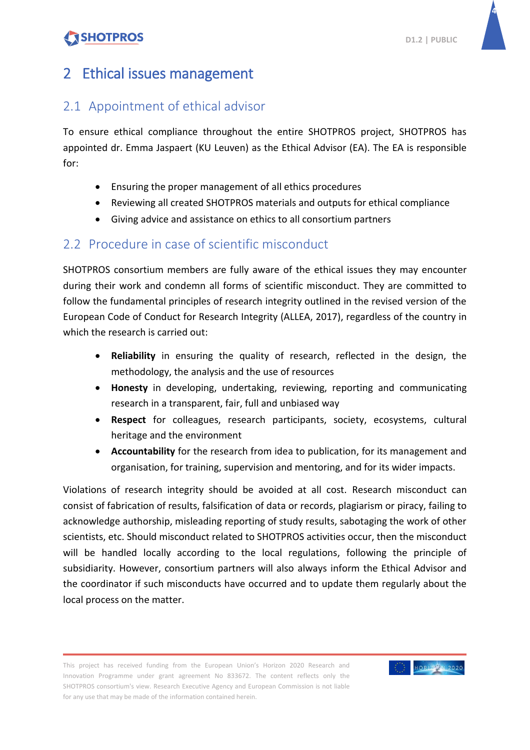

### <span id="page-5-0"></span>2 Ethical issues management

### <span id="page-5-1"></span>2.1 Appointment of ethical advisor

To ensure ethical compliance throughout the entire SHOTPROS project, SHOTPROS has appointed dr. Emma Jaspaert (KU Leuven) as the Ethical Advisor (EA). The EA is responsible for:

- Ensuring the proper management of all ethics procedures
- Reviewing all created SHOTPROS materials and outputs for ethical compliance
- Giving advice and assistance on ethics to all consortium partners

### <span id="page-5-2"></span>2.2 Procedure in case of scientific misconduct

SHOTPROS consortium members are fully aware of the ethical issues they may encounter during their work and condemn all forms of scientific misconduct. They are committed to follow the fundamental principles of research integrity outlined in the revised version of the European Code of Conduct for Research Integrity (ALLEA, 2017), regardless of the country in which the research is carried out:

- **Reliability** in ensuring the quality of research, reflected in the design, the methodology, the analysis and the use of resources
- **Honesty** in developing, undertaking, reviewing, reporting and communicating research in a transparent, fair, full and unbiased way
- **Respect** for colleagues, research participants, society, ecosystems, cultural heritage and the environment
- **Accountability** for the research from idea to publication, for its management and organisation, for training, supervision and mentoring, and for its wider impacts.

Violations of research integrity should be avoided at all cost. Research misconduct can consist of fabrication of results, falsification of data or records, plagiarism or piracy, failing to acknowledge authorship, misleading reporting of study results, sabotaging the work of other scientists, etc. Should misconduct related to SHOTPROS activities occur, then the misconduct will be handled locally according to the local regulations, following the principle of subsidiarity. However, consortium partners will also always inform the Ethical Advisor and the coordinator if such misconducts have occurred and to update them regularly about the local process on the matter.

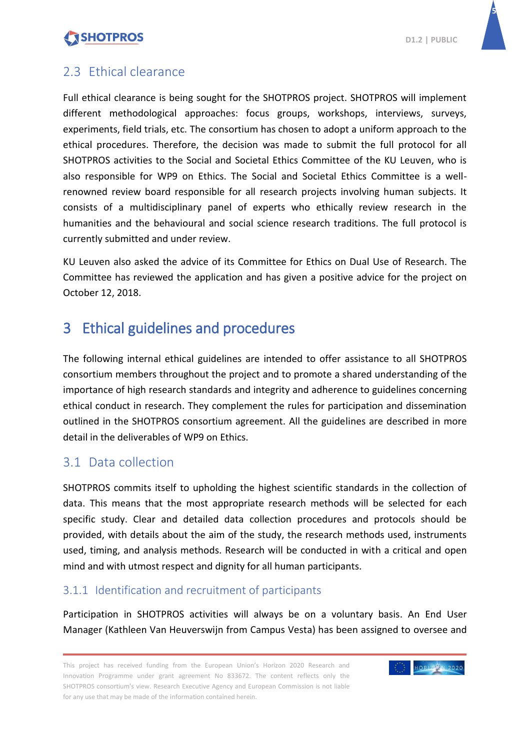**5**

### <span id="page-6-0"></span>2.3 Ethical clearance

Full ethical clearance is being sought for the SHOTPROS project. SHOTPROS will implement different methodological approaches: focus groups, workshops, interviews, surveys, experiments, field trials, etc. The consortium has chosen to adopt a uniform approach to the ethical procedures. Therefore, the decision was made to submit the full protocol for all SHOTPROS activities to the Social and Societal Ethics Committee of the KU Leuven, who is also responsible for WP9 on Ethics. The Social and Societal Ethics Committee is a wellrenowned review board responsible for all research projects involving human subjects. It consists of a multidisciplinary panel of experts who ethically review research in the humanities and the behavioural and social science research traditions. The full protocol is currently submitted and under review.

KU Leuven also asked the advice of its Committee for Ethics on Dual Use of Research. The Committee has reviewed the application and has given a positive advice for the project on October 12, 2018.

### <span id="page-6-1"></span>3 Ethical guidelines and procedures

The following internal ethical guidelines are intended to offer assistance to all SHOTPROS consortium members throughout the project and to promote a shared understanding of the importance of high research standards and integrity and adherence to guidelines concerning ethical conduct in research. They complement the rules for participation and dissemination outlined in the SHOTPROS consortium agreement. All the guidelines are described in more detail in the deliverables of WP9 on Ethics.

### <span id="page-6-2"></span>3.1 Data collection

SHOTPROS commits itself to upholding the highest scientific standards in the collection of data. This means that the most appropriate research methods will be selected for each specific study. Clear and detailed data collection procedures and protocols should be provided, with details about the aim of the study, the research methods used, instruments used, timing, and analysis methods. Research will be conducted in with a critical and open mind and with utmost respect and dignity for all human participants.

#### <span id="page-6-3"></span>3.1.1 Identification and recruitment of participants

Participation in SHOTPROS activities will always be on a voluntary basis. An End User Manager (Kathleen Van Heuverswijn from Campus Vesta) has been assigned to oversee and

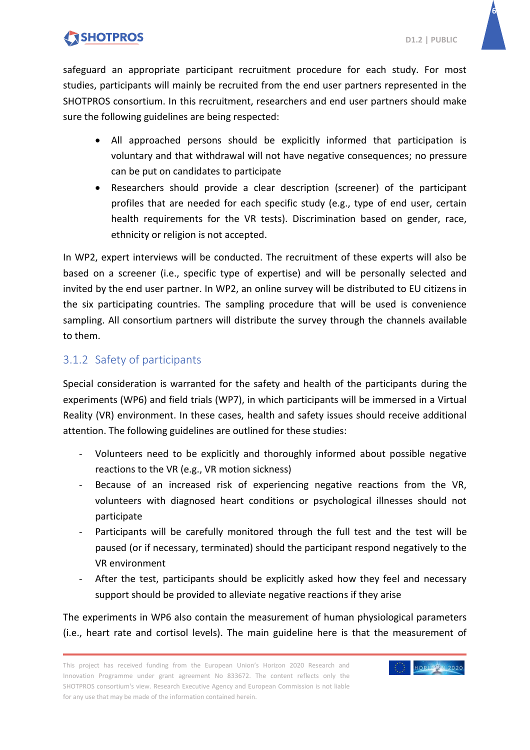**6**

safeguard an appropriate participant recruitment procedure for each study. For most studies, participants will mainly be recruited from the end user partners represented in the SHOTPROS consortium. In this recruitment, researchers and end user partners should make sure the following guidelines are being respected:

- All approached persons should be explicitly informed that participation is voluntary and that withdrawal will not have negative consequences; no pressure can be put on candidates to participate
- Researchers should provide a clear description (screener) of the participant profiles that are needed for each specific study (e.g., type of end user, certain health requirements for the VR tests). Discrimination based on gender, race, ethnicity or religion is not accepted.

In WP2, expert interviews will be conducted. The recruitment of these experts will also be based on a screener (i.e., specific type of expertise) and will be personally selected and invited by the end user partner. In WP2, an online survey will be distributed to EU citizens in the six participating countries. The sampling procedure that will be used is convenience sampling. All consortium partners will distribute the survey through the channels available to them.

#### <span id="page-7-0"></span>3.1.2 Safety of participants

Special consideration is warranted for the safety and health of the participants during the experiments (WP6) and field trials (WP7), in which participants will be immersed in a Virtual Reality (VR) environment. In these cases, health and safety issues should receive additional attention. The following guidelines are outlined for these studies:

- Volunteers need to be explicitly and thoroughly informed about possible negative reactions to the VR (e.g., VR motion sickness)
- Because of an increased risk of experiencing negative reactions from the VR, volunteers with diagnosed heart conditions or psychological illnesses should not participate
- Participants will be carefully monitored through the full test and the test will be paused (or if necessary, terminated) should the participant respond negatively to the VR environment
- After the test, participants should be explicitly asked how they feel and necessary support should be provided to alleviate negative reactions if they arise

The experiments in WP6 also contain the measurement of human physiological parameters (i.e., heart rate and cortisol levels). The main guideline here is that the measurement of

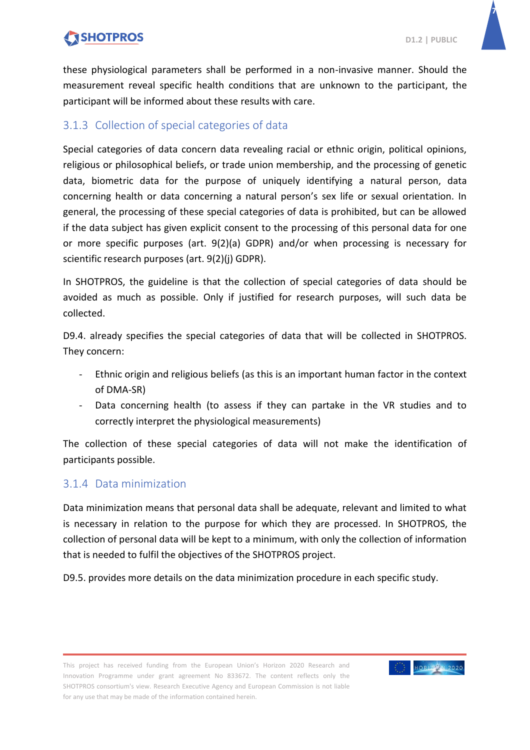**7**

these physiological parameters shall be performed in a non-invasive manner. Should the measurement reveal specific health conditions that are unknown to the participant, the participant will be informed about these results with care.

#### <span id="page-8-0"></span>3.1.3 Collection of special categories of data

Special categories of data concern data revealing racial or ethnic origin, political opinions, religious or philosophical beliefs, or trade union membership, and the processing of genetic data, biometric data for the purpose of uniquely identifying a natural person, data concerning health or data concerning a natural person's sex life or sexual orientation. In general, the processing of these special categories of data is prohibited, but can be allowed if the data subject has given explicit consent to the processing of this personal data for one or more specific purposes (art. 9(2)(a) GDPR) and/or when processing is necessary for scientific research purposes (art. 9(2)(j) GDPR).

In SHOTPROS, the guideline is that the collection of special categories of data should be avoided as much as possible. Only if justified for research purposes, will such data be collected.

D9.4. already specifies the special categories of data that will be collected in SHOTPROS. They concern:

- Ethnic origin and religious beliefs (as this is an important human factor in the context of DMA-SR)
- Data concerning health (to assess if they can partake in the VR studies and to correctly interpret the physiological measurements)

The collection of these special categories of data will not make the identification of participants possible.

#### <span id="page-8-1"></span>3.1.4 Data minimization

Data minimization means that personal data shall be adequate, relevant and limited to what is necessary in relation to the purpose for which they are processed. In SHOTPROS, the collection of personal data will be kept to a minimum, with only the collection of information that is needed to fulfil the objectives of the SHOTPROS project.

D9.5. provides more details on the data minimization procedure in each specific study.

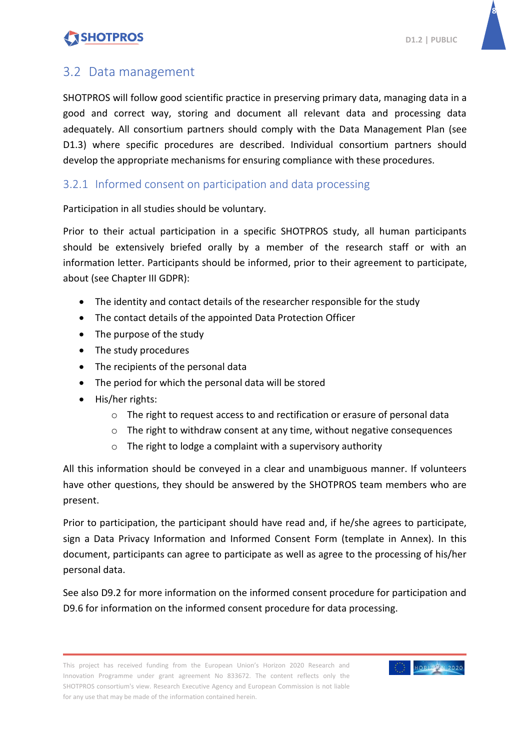**8**

### <span id="page-9-0"></span>3.2 Data management

SHOTPROS will follow good scientific practice in preserving primary data, managing data in a good and correct way, storing and document all relevant data and processing data adequately. All consortium partners should comply with the Data Management Plan (see D1.3) where specific procedures are described. Individual consortium partners should develop the appropriate mechanisms for ensuring compliance with these procedures.

#### <span id="page-9-1"></span>3.2.1 Informed consent on participation and data processing

Participation in all studies should be voluntary.

Prior to their actual participation in a specific SHOTPROS study, all human participants should be extensively briefed orally by a member of the research staff or with an information letter. Participants should be informed, prior to their agreement to participate, about (see Chapter III GDPR):

- The identity and contact details of the researcher responsible for the study
- The contact details of the appointed Data Protection Officer
- The purpose of the study
- The study procedures
- The recipients of the personal data
- The period for which the personal data will be stored
- His/her rights:
	- o The right to request access to and rectification or erasure of personal data
	- o The right to withdraw consent at any time, without negative consequences
	- $\circ$  The right to lodge a complaint with a supervisory authority

All this information should be conveyed in a clear and unambiguous manner. If volunteers have other questions, they should be answered by the SHOTPROS team members who are present.

Prior to participation, the participant should have read and, if he/she agrees to participate, sign a Data Privacy Information and Informed Consent Form (template in Annex). In this document, participants can agree to participate as well as agree to the processing of his/her personal data.

See also D9.2 for more information on the informed consent procedure for participation and D9.6 for information on the informed consent procedure for data processing.

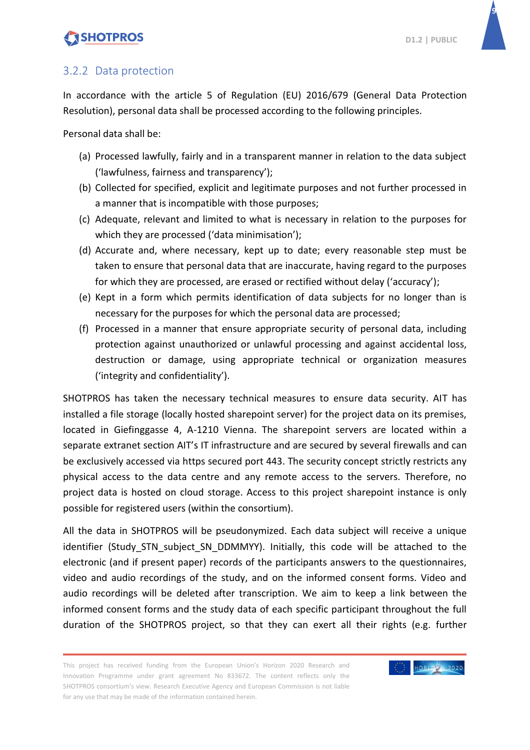**9**

#### <span id="page-10-0"></span>3.2.2 Data protection

In accordance with the article 5 of Regulation (EU) 2016/679 (General Data Protection Resolution), personal data shall be processed according to the following principles.

Personal data shall be:

- (a) Processed lawfully, fairly and in a transparent manner in relation to the data subject ('lawfulness, fairness and transparency');
- (b) Collected for specified, explicit and legitimate purposes and not further processed in a manner that is incompatible with those purposes;
- (c) Adequate, relevant and limited to what is necessary in relation to the purposes for which they are processed ('data minimisation');
- (d) Accurate and, where necessary, kept up to date; every reasonable step must be taken to ensure that personal data that are inaccurate, having regard to the purposes for which they are processed, are erased or rectified without delay ('accuracy');
- (e) Kept in a form which permits identification of data subjects for no longer than is necessary for the purposes for which the personal data are processed;
- (f) Processed in a manner that ensure appropriate security of personal data, including protection against unauthorized or unlawful processing and against accidental loss, destruction or damage, using appropriate technical or organization measures ('integrity and confidentiality').

SHOTPROS has taken the necessary technical measures to ensure data security. AIT has installed a file storage (locally hosted sharepoint server) for the project data on its premises, located in Giefinggasse 4, A-1210 Vienna. The sharepoint servers are located within a separate extranet section AIT's IT infrastructure and are secured by several firewalls and can be exclusively accessed via https secured port 443. The security concept strictly restricts any physical access to the data centre and any remote access to the servers. Therefore, no project data is hosted on cloud storage. Access to this project sharepoint instance is only possible for registered users (within the consortium).

All the data in SHOTPROS will be pseudonymized. Each data subject will receive a unique identifier (Study\_STN\_subject\_SN\_DDMMYY). Initially, this code will be attached to the electronic (and if present paper) records of the participants answers to the questionnaires, video and audio recordings of the study, and on the informed consent forms. Video and audio recordings will be deleted after transcription. We aim to keep a link between the informed consent forms and the study data of each specific participant throughout the full duration of the SHOTPROS project, so that they can exert all their rights (e.g. further

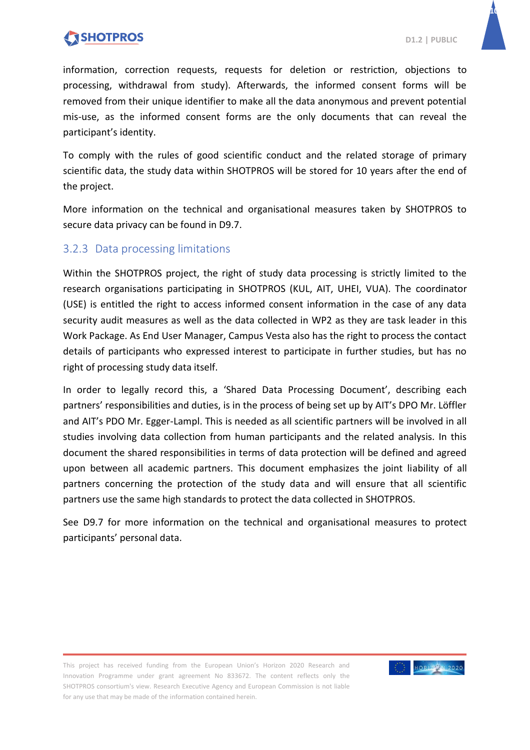**10**

information, correction requests, requests for deletion or restriction, objections to processing, withdrawal from study). Afterwards, the informed consent forms will be removed from their unique identifier to make all the data anonymous and prevent potential mis-use, as the informed consent forms are the only documents that can reveal the participant's identity.

To comply with the rules of good scientific conduct and the related storage of primary scientific data, the study data within SHOTPROS will be stored for 10 years after the end of the project.

More information on the technical and organisational measures taken by SHOTPROS to secure data privacy can be found in D9.7.

#### <span id="page-11-0"></span>3.2.3 Data processing limitations

Within the SHOTPROS project, the right of study data processing is strictly limited to the research organisations participating in SHOTPROS (KUL, AIT, UHEI, VUA). The coordinator (USE) is entitled the right to access informed consent information in the case of any data security audit measures as well as the data collected in WP2 as they are task leader in this Work Package. As End User Manager, Campus Vesta also has the right to process the contact details of participants who expressed interest to participate in further studies, but has no right of processing study data itself.

In order to legally record this, a 'Shared Data Processing Document', describing each partners' responsibilities and duties, is in the process of being set up by AIT's DPO Mr. Löffler and AIT's PDO Mr. Egger-Lampl. This is needed as all scientific partners will be involved in all studies involving data collection from human participants and the related analysis. In this document the shared responsibilities in terms of data protection will be defined and agreed upon between all academic partners. This document emphasizes the joint liability of all partners concerning the protection of the study data and will ensure that all scientific partners use the same high standards to protect the data collected in SHOTPROS.

See D9.7 for more information on the technical and organisational measures to protect participants' personal data.

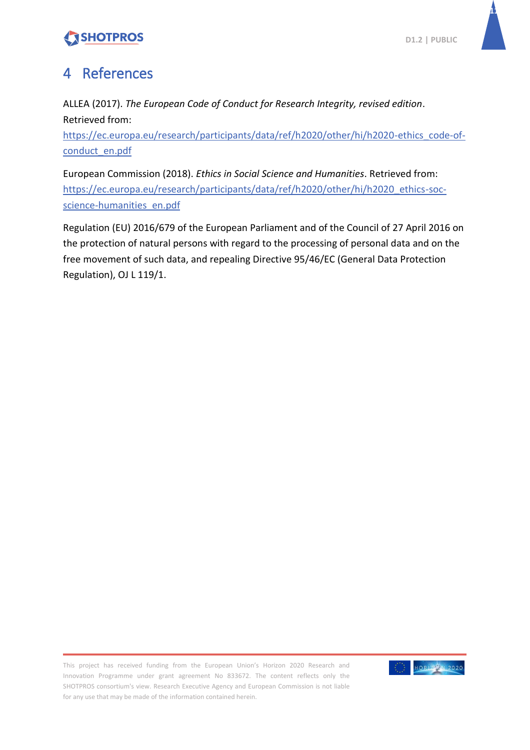

### <span id="page-12-0"></span>4 References

ALLEA (2017). *The European Code of Conduct for Research Integrity, revised edition*. Retrieved from:

[https://ec.europa.eu/research/participants/data/ref/h2020/other/hi/h2020-ethics\\_code-of](https://ec.europa.eu/research/participants/data/ref/h2020/other/hi/h2020-ethics_code-of-conduct_en.pdf)[conduct\\_en.pdf](https://ec.europa.eu/research/participants/data/ref/h2020/other/hi/h2020-ethics_code-of-conduct_en.pdf)

European Commission (2018). *Ethics in Social Science and Humanities*. Retrieved from: [https://ec.europa.eu/research/participants/data/ref/h2020/other/hi/h2020\\_ethics-soc](https://ec.europa.eu/research/participants/data/ref/h2020/other/hi/h2020_ethics-soc-science-humanities_en.pdf)[science-humanities\\_en.pdf](https://ec.europa.eu/research/participants/data/ref/h2020/other/hi/h2020_ethics-soc-science-humanities_en.pdf)

Regulation (EU) 2016/679 of the European Parliament and of the Council of 27 April 2016 on the protection of natural persons with regard to the processing of personal data and on the free movement of such data, and repealing Directive 95/46/EC (General Data Protection Regulation), OJ L 119/1.

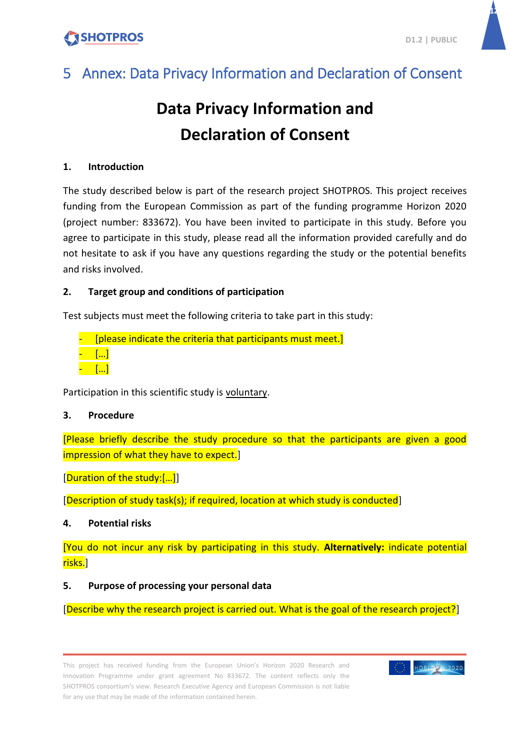**12**

# <span id="page-13-0"></span>5 Annex: Data Privacy Information and Declaration of Consent

# **Data Privacy Information and Declaration of Consent**

#### **1. Introduction**

The study described below is part of the research project SHOTPROS. This project receives funding from the European Commission as part of the funding programme Horizon 2020 (project number: 833672). You have been invited to participate in this study. Before you agree to participate in this study, please read all the information provided carefully and do not hesitate to ask if you have any questions regarding the study or the potential benefits and risks involved.

#### **2. Target group and conditions of participation**

Test subjects must meet the following criteria to take part in this study:

[please indicate the criteria that participants must meet.] - […] - […]

Participation in this scientific study is voluntary.

#### **3. Procedure**

[Please briefly describe the study procedure so that the participants are given a good impression of what they have to expect.]

[Duration of the study:[…]]

[Description of study task(s); if required, location at which study is conducted]

#### **4. Potential risks**

[You do not incur any risk by participating in this study. **Alternatively:** indicate potential risks.]

#### <span id="page-13-1"></span>**5. Purpose of processing your personal data**

[Describe why the research project is carried out. What is the goal of the research project?]

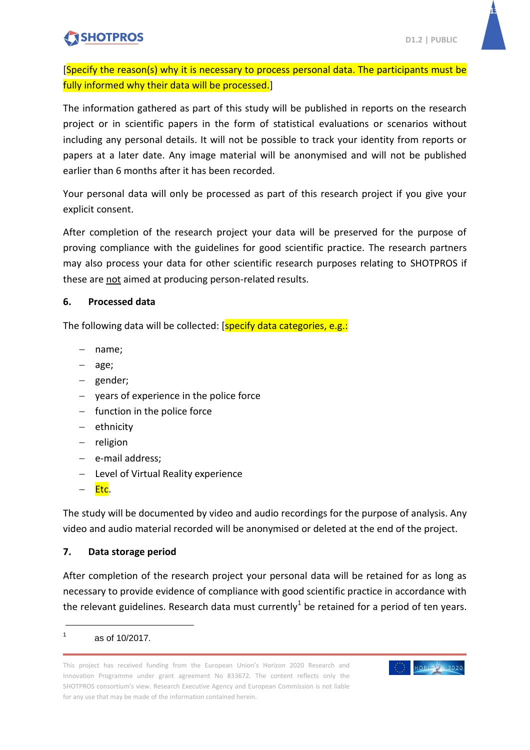

**13**

[Specify the reason(s) why it is necessary to process personal data. The participants must be fully informed why their data will be processed.]

The information gathered as part of this study will be published in reports on the research project or in scientific papers in the form of statistical evaluations or scenarios without including any personal details. It will not be possible to track your identity from reports or papers at a later date. Any image material will be anonymised and will not be published earlier than 6 months after it has been recorded.

Your personal data will only be processed as part of this research project if you give your explicit consent.

After completion of the research project your data will be preserved for the purpose of proving compliance with the guidelines for good scientific practice. The research partners may also process your data for other scientific research purposes relating to SHOTPROS if these are not aimed at producing person-related results.

#### **6. Processed data**

The following data will be collected: [specify data categories, e.g.:

- name;
- age;
- gender;
- $-$  years of experience in the police force
- $-$  function in the police force
- $-$  ethnicity
- $-$  religion
- $-$  e-mail address;
- Level of Virtual Reality experience
- Etc.

The study will be documented by video and audio recordings for the purpose of analysis. Any video and audio material recorded will be anonymised or deleted at the end of the project.

#### **7. Data storage period**

After completion of the research project your personal data will be retained for as long as necessary to provide evidence of compliance with good scientific practice in accordance with the relevant guidelines. Research data must currently<sup>1</sup> be retained for a period of ten years.

1 as of 10/2017.

 $\overline{a}$ 

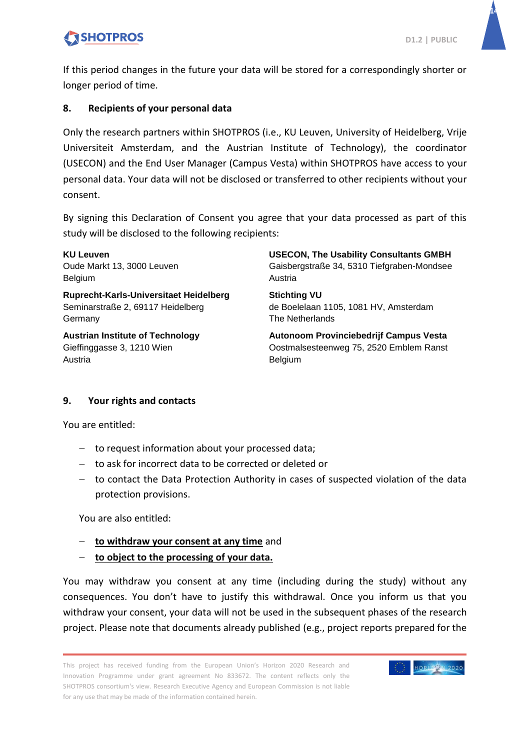**14**



#### **8. Recipients of your personal data**

Only the research partners within SHOTPROS (i.e., KU Leuven, University of Heidelberg, Vrije Universiteit Amsterdam, and the Austrian Institute of Technology), the coordinator (USECON) and the End User Manager (Campus Vesta) within SHOTPROS have access to your personal data. Your data will not be disclosed or transferred to other recipients without your consent.

By signing this Declaration of Consent you agree that your data processed as part of this study will be disclosed to the following recipients:

**KU Leuven** Oude Markt 13, 3000 Leuven Belgium

**Ruprecht-Karls-Universitaet Heidelberg** Seminarstraße 2, 69117 Heidelberg Germany

**Austrian Institute of Technology** Gieffinggasse 3, 1210 Wien Austria

**USECON, The Usability Consultants GMBH** Gaisbergstraße 34, 5310 Tiefgraben-Mondsee Austria

**Stichting VU** de Boelelaan 1105, 1081 HV, Amsterdam The Netherlands

**Autonoom Provinciebedrijf Campus Vesta** Oostmalsesteenweg 75, 2520 Emblem Ranst Belgium

#### **9. Your rights and contacts**

You are entitled:

- $-$  to request information about your processed data;
- to ask for incorrect data to be corrected or deleted or
- $-$  to contact the Data Protection Authority in cases of suspected violation of the data protection provisions.

You are also entitled:

- **to withdraw your consent at any time** and
- **to object to the processing of your data.**

You may withdraw you consent at any time (including during the study) without any consequences. You don't have to justify this withdrawal. Once you inform us that you withdraw your consent, your data will not be used in the subsequent phases of the research project. Please note that documents already published (e.g., project reports prepared for the

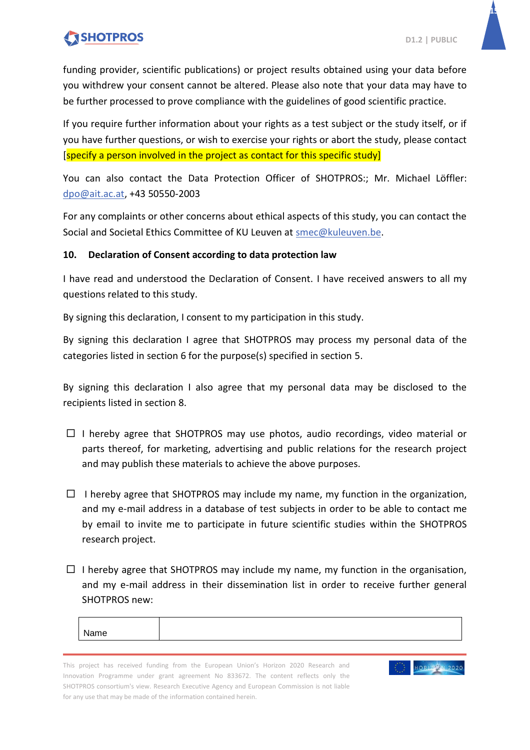**15**

funding provider, scientific publications) or project results obtained using your data before you withdrew your consent cannot be altered. Please also note that your data may have to be further processed to prove compliance with the guidelines of good scientific practice.

If you require further information about your rights as a test subject or the study itself, or if you have further questions, or wish to exercise your rights or abort the study, please contact [specify a person involved in the project as contact for this specific study]

You can also contact the Data Protection Officer of SHOTPROS:; Mr. Michael Löffler: [dpo@ait.ac.at,](mailto:dpo@ait.ac.at) +43 50550-2003

For any complaints or other concerns about ethical aspects of this study, you can contact the Social and Societal Ethics Committee of KU Leuven at [smec@kuleuven.be.](mailto:smec@kuleuven.be)

#### **10. Declaration of Consent according to data protection law**

I have read and understood the Declaration of Consent. I have received answers to all my questions related to this study.

By signing this declaration, I consent to my participation in this study.

By signing this declaration I agree that SHOTPROS may process my personal data of the categories listed in section 6 for the purpose(s) specified in section [5.](#page-13-1)

By signing this declaration I also agree that my personal data may be disclosed to the recipients listed in section 8.

- $\Box$  I hereby agree that SHOTPROS may use photos, audio recordings, video material or parts thereof, for marketing, advertising and public relations for the research project and may publish these materials to achieve the above purposes.
- $\Box$  I hereby agree that SHOTPROS may include my name, my function in the organization, and my e-mail address in a database of test subjects in order to be able to contact me by email to invite me to participate in future scientific studies within the SHOTPROS research project.
- $\Box$  I hereby agree that SHOTPROS may include my name, my function in the organisation, and my e-mail address in their dissemination list in order to receive further general SHOTPROS new:

| чне - |  |
|-------|--|
|       |  |